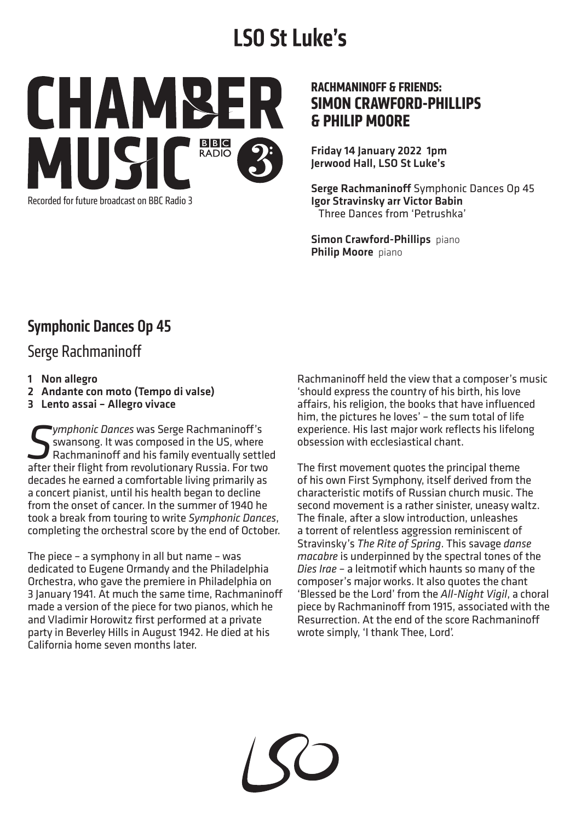# **LSO St Luke's**



#### **RACHMANINOFF & FRIENDS: SIMON CRAWFORD-PHILLIPS & PHILIP MOORE**

Friday 14 January 2022 1pm Jerwood Hall, LSO St Luke's

Serge Rachmaninoff Symphonic Dances Op 45 Igor Stravinsky arr Victor Babin Three Dances from 'Petrushka'

Simon Crawford-Phillips piano Philip Moore piano

## Symphonic Dances Op 45

Serge Rachmaninoff

- 1 Non allegro
- 2 Andante con moto (Tempo di valse)
- 3 Lento assai Allegro vivace

*Symphonic Dances* was Serge Rachmaninoff's<br>
Swansong. It was composed in the US, where<br>
Rachmaninoff and his family eventually settle<br>
For two revolutionary Russia. For two **Symphonic Dances was Serge Rachmaninoff's**<br>Symphong. It was composed in the US, where Rachmaninoff and his family eventually settled after their flight from revolutionary Russia. For two decades he earned a comfortable living primarily as a concert pianist, until his health began to decline from the onset of cancer. In the summer of 1940 he took a break from touring to write *Symphonic Dances*, completing the orchestral score by the end of October.

The piece – a symphony in all but name – was dedicated to Eugene Ormandy and the Philadelphia Orchestra, who gave the premiere in Philadelphia on 3 January 1941. At much the same time, Rachmaninoff made a version of the piece for two pianos, which he and Vladimir Horowitz first performed at a private party in Beverley Hills in August 1942. He died at his California home seven months later.

Rachmaninoff held the view that a composer's music 'should express the country of his birth, his love affairs, his religion, the books that have influenced him, the pictures he loves' – the sum total of life experience. His last major work reflects his lifelong obsession with ecclesiastical chant.

The first movement quotes the principal theme of his own First Symphony, itself derived from the characteristic motifs of Russian church music. The second movement is a rather sinister, uneasy waltz. The finale, after a slow introduction, unleashes a torrent of relentless aggression reminiscent of Stravinsky's *The Rite of Spring*. This savage *danse macabre* is underpinned by the spectral tones of the *Dies Irae* – a leitmotif which haunts so many of the composer's major works. It also quotes the chant 'Blessed be the Lord' from the *All-Night Vigil*, a choral piece by Rachmaninoff from 1915, associated with the Resurrection. At the end of the score Rachmaninoff wrote simply, 'I thank Thee, Lord'.

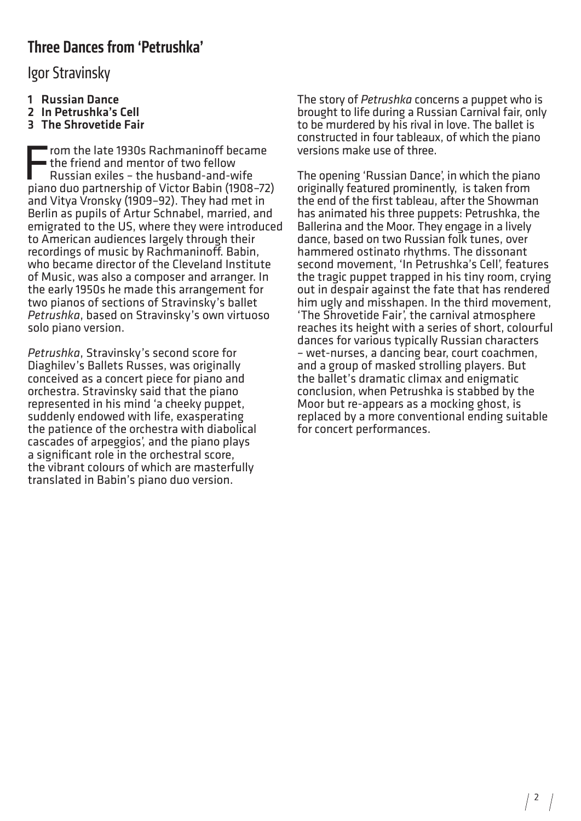## Three Dances from 'Petrushka'

Igor Stravinsky

- 1 Russian Dance
- 2 In Petrushka's Cell
- 3 The Shrovetide Fair

From the late 1930s Rachmaninoff became the friend and mentor of two fellow Russian exiles – the husband-and-wife piano duo partnership of Victor Babin (1908–72) and Vitya Vronsky (1909–92). They had met in Berlin as pupils of Artur Schnabel, married, and emigrated to the US, where they were introduced to American audiences largely through their recordings of music by Rachmaninoff. Babin, who became director of the Cleveland Institute of Music, was also a composer and arranger. In the early 1950s he made this arrangement for two pianos of sections of Stravinsky's ballet *Petrushka*, based on Stravinsky's own virtuoso solo piano version.

*Petrushka*, Stravinsky's second score for Diaghilev's Ballets Russes, was originally conceived as a concert piece for piano and orchestra. Stravinsky said that the piano represented in his mind 'a cheeky puppet, suddenly endowed with life, exasperating the patience of the orchestra with diabolical cascades of arpeggios', and the piano plays a significant role in the orchestral score, the vibrant colours of which are masterfully translated in Babin's piano duo version.

The story of *Petrushka* concerns a puppet who is brought to life during a Russian Carnival fair, only to be murdered by his rival in love. The ballet is constructed in four tableaux, of which the piano versions make use of three.

The opening 'Russian Dance', in which the piano originally featured prominently, is taken from the end of the first tableau, after the Showman has animated his three puppets: Petrushka, the Ballerina and the Moor. They engage in a lively dance, based on two Russian folk tunes, over hammered ostinato rhythms. The dissonant second movement, 'In Petrushka's Cell', features the tragic puppet trapped in his tiny room, crying out in despair against the fate that has rendered him ugly and misshapen. In the third movement, 'The Shrovetide Fair', the carnival atmosphere reaches its height with a series of short, colourful dances for various typically Russian characters – wet-nurses, a dancing bear, court coachmen, and a group of masked strolling players. But the ballet's dramatic climax and enigmatic conclusion, when Petrushka is stabbed by the Moor but re-appears as a mocking ghost, is replaced by a more conventional ending suitable for concert performances.